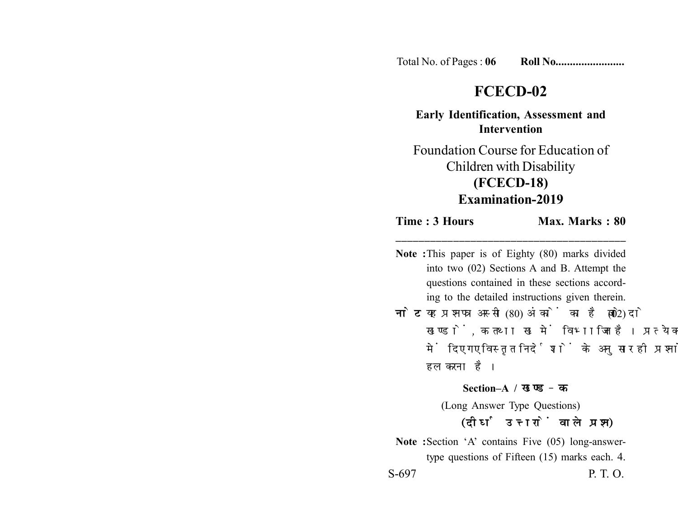Total No. of Pages : **06 Roll No........................**

## **FCECD-02**

**Early Identification, Assessment and Intervention**

Foundation Course for Education of Children with Disability **(FCECD-18) Examination-2019**

## **Time : 3 Hours Max. Marks : 80 \_\_\_\_\_\_\_\_\_\_\_\_\_\_\_\_\_\_\_\_\_\_\_\_\_\_\_\_\_\_\_\_\_\_\_\_\_\_\_\_**

**Note :**This paper is of Eighty (80) marks divided into two (02) Sections A and B. Attempt the questions contained in these sections according to the detailed instructions given therein. **नोट:** यह प्रश्नपत्र अस्सी (80) अंकों का है जो दो (02) खण्डों, क तथा ख में विभाजित है। प्रत्येक खण्ड में दिए गए विस्तृत निर्देशों के अनुसार ही प्रश्नों को हल करना है। **Section–A /**  (Long Answer Type Questions)

## (दीर्घ उत्तरों वाले प्रश्न)

**Note :**Section 'A' contains Five (05) long-answertype questions of Fifteen (15) marks each. 4. S-697 P. T. O.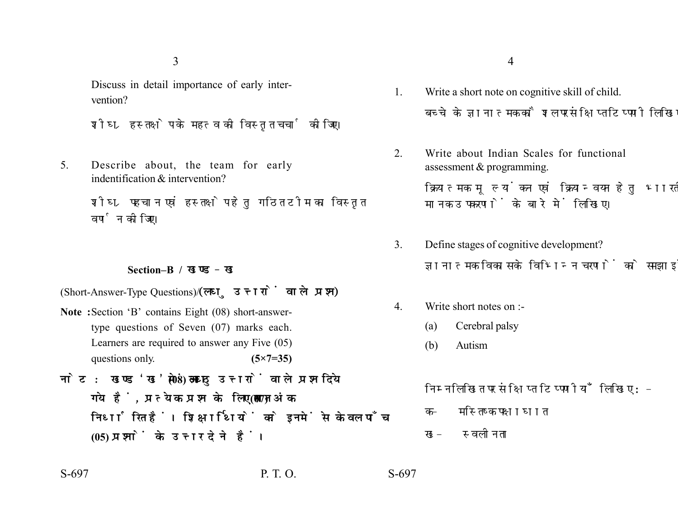3

Discuss in detail importance of early intervention?

शीघ्र हस्तक्षेप के महत्व की विस्तृत चर्चा कीजिए।

5. Describe about, the team for early indentification & intervention?

> शीघ्र पहचान एवं हस्तक्षेप हेतु गठित टीम का विस्तृत वर्णन कीजिए।

## **Section–B /**

(Short-Answer-Type Questions) (लघु उत्तरों वाले प्रश्न)

- **Note :**Section 'B' contains Eight (08) short-answertype questions of Seven (07) marks each. Learners are required to answer any Five (05) questions only. **(5×7=35)**
- नोट: खण्ड'ख' में आठ (08) लघु उत्तरों वाले प्रश्न दिये गये हैं, प्रत्येक प्रश्न के लिए सात (07) अंक निर्धारित हैं। शिक्षार्थियों को इनमें से केवल पाँच **(05) प्रश्नों के उत्तर देने हैं।**
- 1. Write a short note on cognitive skill of child. बच्चे के ज्ञानात्मक कौशल पर संक्षिप्त टिप्पणी लिखिए।
- 2. Write about Indian Scales for functional assessment & programming.

क्रियात्मक मुल्यांकन एवं क्रियान्वयन हेतु भारतीय मानक उपकरणों के बारे में लिखिए।

- 3. Define stages of cognitive development? ज्ञानात्मक विकास के विभिन्न चरणों को समझाइये।
- 4. Write short notes on :-
	- (a) Cerebral palsy
	- (b) Autism

निम्नलिखित पर संक्षिप्त टिप्पणीयाँ लिखिए:-

- क– मस्तिष्क पक्षाघात
- ख− स्वलीनता